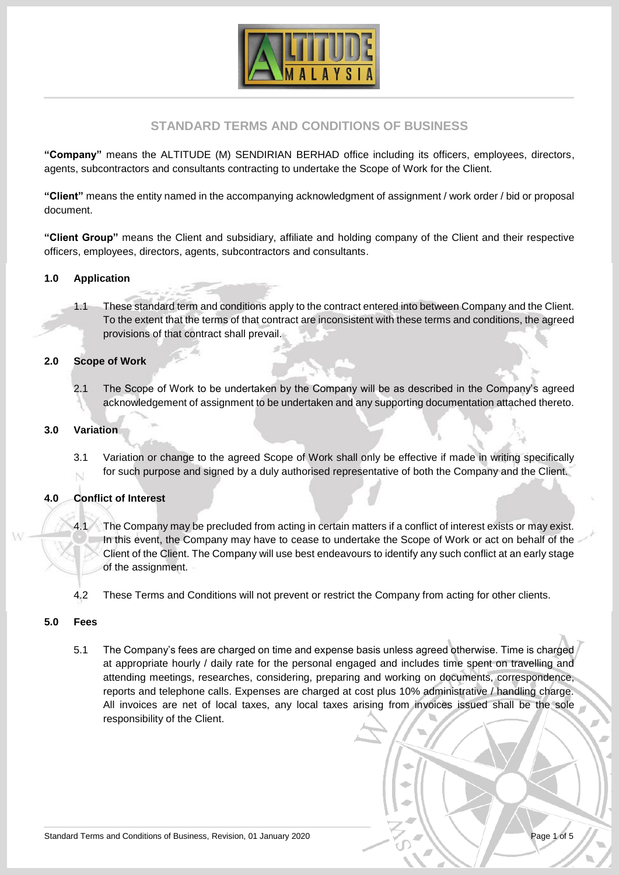

# **STANDARD TERMS AND CONDITIONS OF BUSINESS**

**"Company"** means the ALTITUDE (M) SENDIRIAN BERHAD office including its officers, employees, directors, agents, subcontractors and consultants contracting to undertake the Scope of Work for the Client.

**"Client"** means the entity named in the accompanying acknowledgment of assignment / work order / bid or proposal document.

**"Client Group"** means the Client and subsidiary, affiliate and holding company of the Client and their respective officers, employees, directors, agents, subcontractors and consultants.

# **1.0 Application**

1.1 These standard term and conditions apply to the contract entered into between Company and the Client. To the extent that the terms of that contract are inconsistent with these terms and conditions, the agreed provisions of that contract shall prevail.

#### **2.0 Scope of Work**

2.1 The Scope of Work to be undertaken by the Company will be as described in the Company's agreed acknowledgement of assignment to be undertaken and any supporting documentation attached thereto.

# **3.0 Variation**

3.1 Variation or change to the agreed Scope of Work shall only be effective if made in writing specifically for such purpose and signed by a duly authorised representative of both the Company and the Client.

#### **4.0 Conflict of Interest**

- 4.1 The Company may be precluded from acting in certain matters if a conflict of interest exists or may exist. In this event, the Company may have to cease to undertake the Scope of Work or act on behalf of the Client of the Client. The Company will use best endeavours to identify any such conflict at an early stage of the assignment.
- 4.2 These Terms and Conditions will not prevent or restrict the Company from acting for other clients.

#### **5.0 Fees**

5.1 The Company's fees are charged on time and expense basis unless agreed otherwise. Time is charged at appropriate hourly / daily rate for the personal engaged and includes time spent on travelling and attending meetings, researches, considering, preparing and working on documents, correspondence, reports and telephone calls. Expenses are charged at cost plus 10% administrative / handling charge. All invoices are net of local taxes, any local taxes arising from invoices issued shall be the sole responsibility of the Client.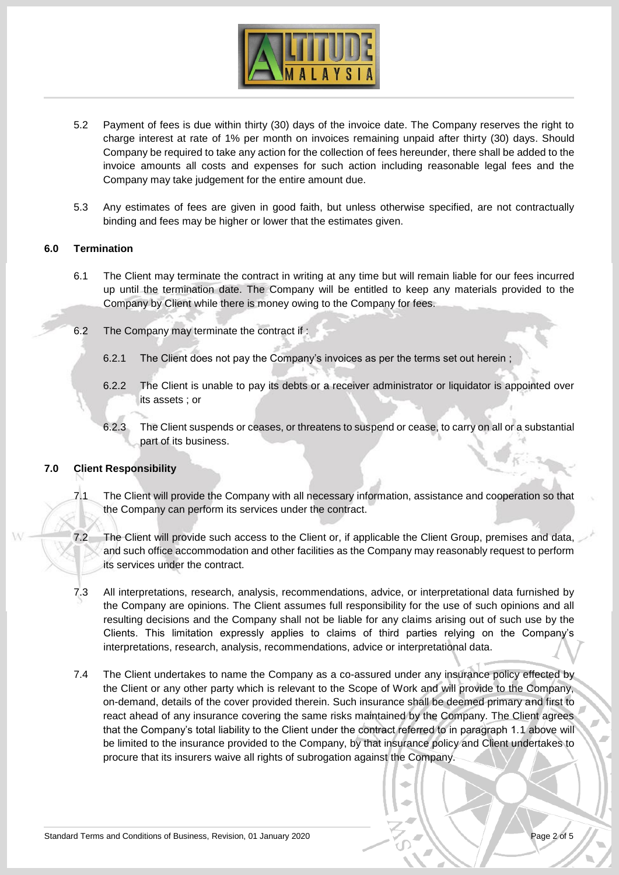

- 5.2 Payment of fees is due within thirty (30) days of the invoice date. The Company reserves the right to charge interest at rate of 1% per month on invoices remaining unpaid after thirty (30) days. Should Company be required to take any action for the collection of fees hereunder, there shall be added to the invoice amounts all costs and expenses for such action including reasonable legal fees and the Company may take judgement for the entire amount due.
- 5.3 Any estimates of fees are given in good faith, but unless otherwise specified, are not contractually binding and fees may be higher or lower that the estimates given.

# **6.0 Termination**

- 6.1 The Client may terminate the contract in writing at any time but will remain liable for our fees incurred up until the termination date. The Company will be entitled to keep any materials provided to the Company by Client while there is money owing to the Company for fees.
- 6.2 The Company may terminate the contract if :
	- 6.2.1 The Client does not pay the Company's invoices as per the terms set out herein ;
	- 6.2.2 The Client is unable to pay its debts or a receiver administrator or liquidator is appointed over its assets ; or
	- 6.2.3 The Client suspends or ceases, or threatens to suspend or cease, to carry on all or a substantial part of its business.

# **7.0 Client Responsibility**

- 7.1 The Client will provide the Company with all necessary information, assistance and cooperation so that the Company can perform its services under the contract.
- 7.2 The Client will provide such access to the Client or, if applicable the Client Group, premises and data, and such office accommodation and other facilities as the Company may reasonably request to perform its services under the contract.
- 7.3 All interpretations, research, analysis, recommendations, advice, or interpretational data furnished by the Company are opinions. The Client assumes full responsibility for the use of such opinions and all resulting decisions and the Company shall not be liable for any claims arising out of such use by the Clients. This limitation expressly applies to claims of third parties relying on the Company's interpretations, research, analysis, recommendations, advice or interpretational data.
- 7.4 The Client undertakes to name the Company as a co-assured under any insurance policy effected by the Client or any other party which is relevant to the Scope of Work and will provide to the Company, on-demand, details of the cover provided therein. Such insurance shall be deemed primary and first to react ahead of any insurance covering the same risks maintained by the Company. The Client agrees that the Company's total liability to the Client under the contract referred to in paragraph 1.1 above will be limited to the insurance provided to the Company, by that insurance policy and Client undertakes to procure that its insurers waive all rights of subrogation against the Company.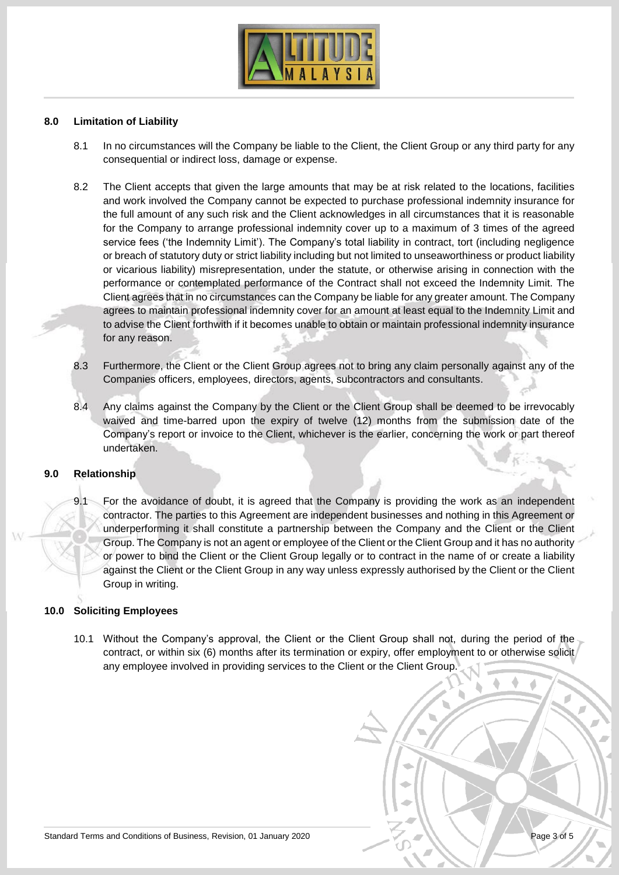

#### **8.0 Limitation of Liability**

- 8.1 In no circumstances will the Company be liable to the Client, the Client Group or any third party for any consequential or indirect loss, damage or expense.
- 8.2 The Client accepts that given the large amounts that may be at risk related to the locations, facilities and work involved the Company cannot be expected to purchase professional indemnity insurance for the full amount of any such risk and the Client acknowledges in all circumstances that it is reasonable for the Company to arrange professional indemnity cover up to a maximum of 3 times of the agreed service fees ('the Indemnity Limit'). The Company's total liability in contract, tort (including negligence or breach of statutory duty or strict liability including but not limited to unseaworthiness or product liability or vicarious liability) misrepresentation, under the statute, or otherwise arising in connection with the performance or contemplated performance of the Contract shall not exceed the Indemnity Limit. The Client agrees that in no circumstances can the Company be liable for any greater amount. The Company agrees to maintain professional indemnity cover for an amount at least equal to the Indemnity Limit and to advise the Client forthwith if it becomes unable to obtain or maintain professional indemnity insurance for any reason.
- 8.3 Furthermore, the Client or the Client Group agrees not to bring any claim personally against any of the Companies officers, employees, directors, agents, subcontractors and consultants.
- 8.4 Any claims against the Company by the Client or the Client Group shall be deemed to be irrevocably waived and time-barred upon the expiry of twelve (12) months from the submission date of the Company's report or invoice to the Client, whichever is the earlier, concerning the work or part thereof undertaken.

### **9.0 Relationship**

9.1 For the avoidance of doubt, it is agreed that the Company is providing the work as an independent contractor. The parties to this Agreement are independent businesses and nothing in this Agreement or underperforming it shall constitute a partnership between the Company and the Client or the Client Group. The Company is not an agent or employee of the Client or the Client Group and it has no authority or power to bind the Client or the Client Group legally or to contract in the name of or create a liability against the Client or the Client Group in any way unless expressly authorised by the Client or the Client Group in writing.

#### **10.0 Soliciting Employees**

10.1 Without the Company's approval, the Client or the Client Group shall not, during the period of the contract, or within six (6) months after its termination or expiry, offer employment to or otherwise solicit any employee involved in providing services to the Client or the Client Group.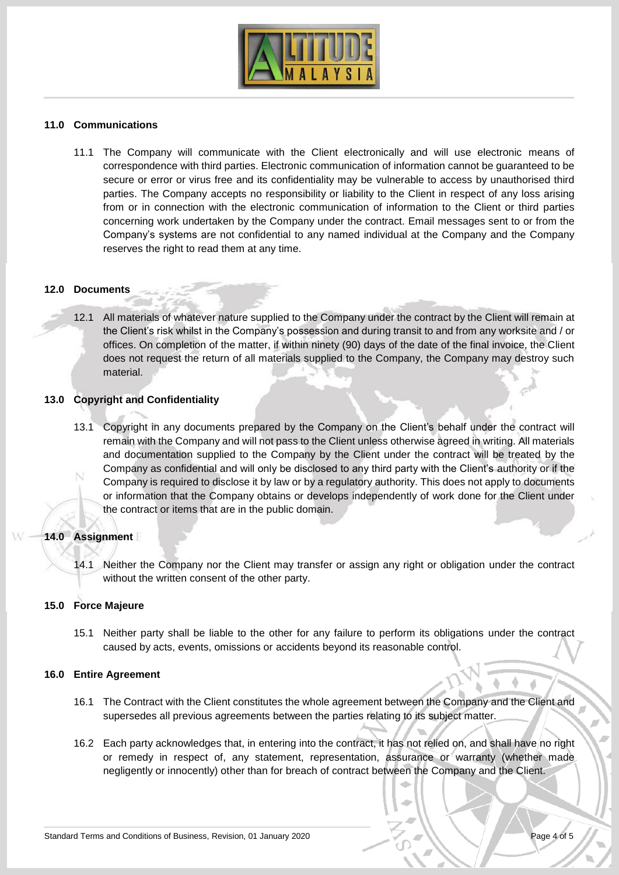

### **11.0 Communications**

11.1 The Company will communicate with the Client electronically and will use electronic means of correspondence with third parties. Electronic communication of information cannot be guaranteed to be secure or error or virus free and its confidentiality may be vulnerable to access by unauthorised third parties. The Company accepts no responsibility or liability to the Client in respect of any loss arising from or in connection with the electronic communication of information to the Client or third parties concerning work undertaken by the Company under the contract. Email messages sent to or from the Company's systems are not confidential to any named individual at the Company and the Company reserves the right to read them at any time.

#### **12.0 Documents**

12.1 All materials of whatever nature supplied to the Company under the contract by the Client will remain at the Client's risk whilst in the Company's possession and during transit to and from any worksite and / or offices. On completion of the matter, if within ninety (90) days of the date of the final invoice, the Client does not request the return of all materials supplied to the Company, the Company may destroy such material.

### **13.0 Copyright and Confidentiality**

13.1 Copyright in any documents prepared by the Company on the Client's behalf under the contract will remain with the Company and will not pass to the Client unless otherwise agreed in writing. All materials and documentation supplied to the Company by the Client under the contract will be treated by the Company as confidential and will only be disclosed to any third party with the Client's authority or if the Company is required to disclose it by law or by a regulatory authority. This does not apply to documents or information that the Company obtains or develops independently of work done for the Client under the contract or items that are in the public domain.

#### **14.0 Assignment**

14.1 Neither the Company nor the Client may transfer or assign any right or obligation under the contract without the written consent of the other party.

#### **15.0 Force Majeure**

15.1 Neither party shall be liable to the other for any failure to perform its obligations under the contract caused by acts, events, omissions or accidents beyond its reasonable control.

#### **16.0 Entire Agreement**

- 16.1 The Contract with the Client constitutes the whole agreement between the Company and the Client and supersedes all previous agreements between the parties relating to its subject matter.
- 16.2 Each party acknowledges that, in entering into the contract, it has not relied on, and shall have no right or remedy in respect of, any statement, representation, assurance or warranty (whether made negligently or innocently) other than for breach of contract between the Company and the Client.